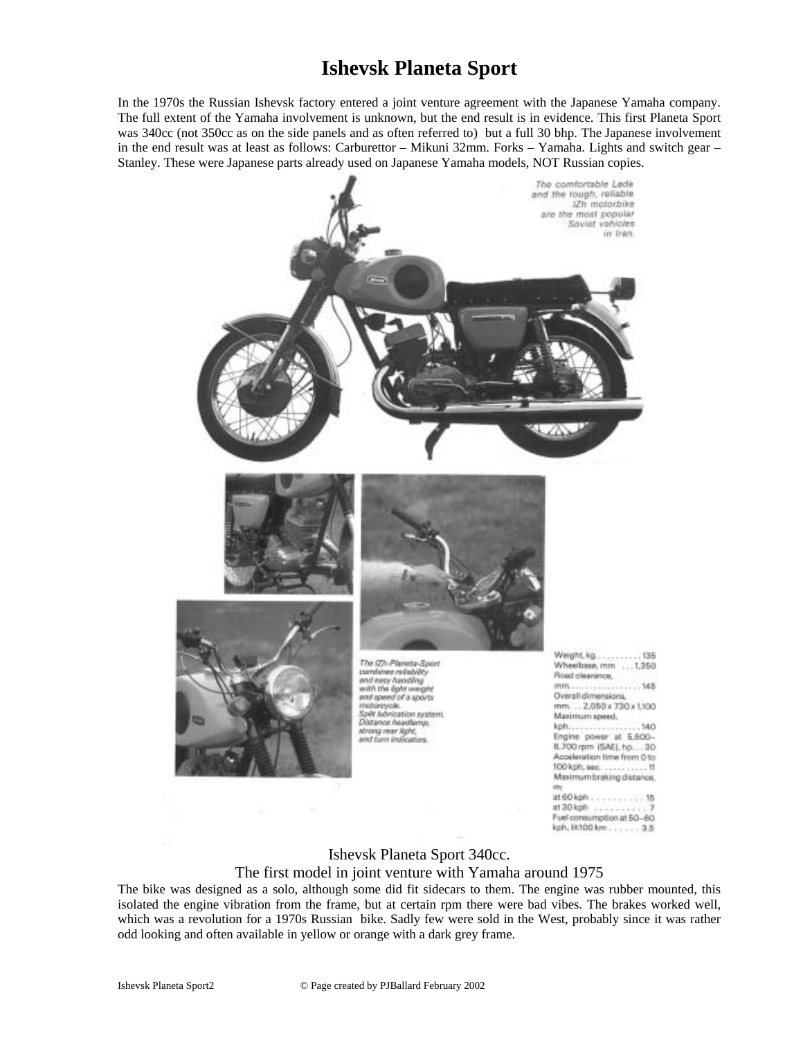## **Ishevsk Planeta Sport**

In the 1970s the Russian Ishevsk factory entered a joint venture agreement with the Japanese Yamaha company. The full extent of the Yamaha involvement is unknown, but the end result is in evidence. This first Planeta Sport was 340cc (not 350cc as on the side panels and as often referred to) but a full 30 bhp. The Japanese involvement in the end result was at least as follows: Carburettor – Mikuni 32mm. Forks – Yamaha. Lights and switch gear – Stanley. These were Japanese parts already used on Japanese Yamaha models, NOT Russian copies.



## Ishevsk Planeta Sport 340cc.

Fuel consumption at 50-60 kph, EU100 km., , , , ... 3.5

## The first model in joint venture with Yamaha around 1975

The bike was designed as a solo, although some did fit sidecars to them. The engine was rubber mounted, this isolated the engine vibration from the frame, but at certain rpm there were bad vibes. The brakes worked well, which was a revolution for a 1970s Russian bike. Sadly few were sold in the West, probably since it was rather odd looking and often available in yellow or orange with a dark grey frame.